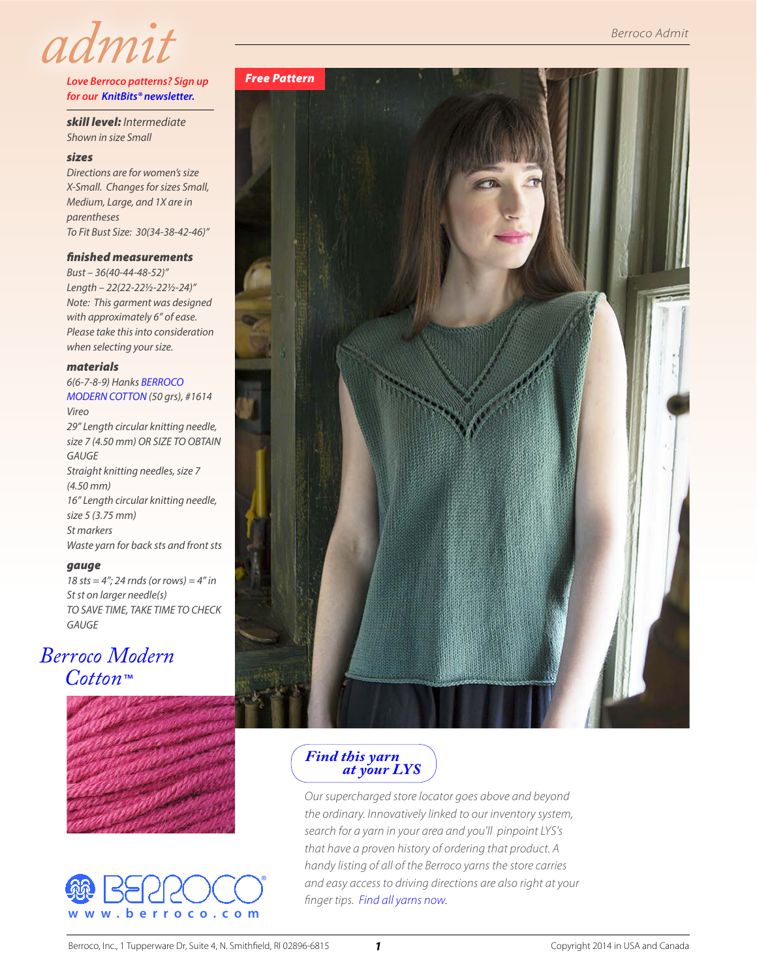

#### *Love Berroco patterns? Sign up for our [KnitBits® newsletter](http://www.berroco.com/knitbits-newsletter).*

*skill level: Intermediate Shown in size Small* 

#### *sizes*

*Directions are for women's size X-Small. Changes for sizes Small, Medium, Large, and 1X are in parentheses To Fit Bust Size: 30(34-38-42-46)"*

#### *finished measurements*

*Bust – 36(40-44-48-52)" Length – 22(22-22½-22½-24)" Note: This garment was designed with approximately 6" of ease. Please take this into consideration when selecting your size.*

#### *materials*

*6(6-7-8-9) Hanks [BERROCO](http://www.berroco.com/yarns/berroco-modern-cotton)  [MODERN COTTON](http://www.berroco.com/yarns/berroco-modern-cotton) (50 grs), #1614 Vireo 29" Length circular knitting needle, size 7 (4.50 mm) OR SIZE TO OBTAIN GAUGE Straight knitting needles, size 7 (4.50 mm) 16" Length circular knitting needle, size 5 (3.75 mm) St markers Waste yarn for back sts and front sts*

#### *gauge*

*18 sts = 4"; 24 rnds (or rows) = 4" in St st on larger needle(s) TO SAVE TIME, TAKE TIME TO CHECK GAUGE*

# *[Berroco Modern](http://www.berroco.com/yarns/berroco-modern-cotton)  [Cotton](http://www.berroco.com/yarns/berroco-modern-cotton)*™







*Find this yarn  [at your LYS](http://www.berroco.com/store-locator/shops?optionOPT1=berroco&optionOPT2=~MdrnCttn~B&mapid=US&lang=en&design=default&place=)*

*Our supercharged store locator goes above and beyond the ordinary. Innovatively linked to our inventory system, search for a yarn in your area and you'll pinpoint LYS's that have a proven history of ordering that product. A handy listing of all of the Berroco yarns the store carries and easy access to driving directions are also right at your finger tips. [Find all yarns now](http://www.berroco.com/store-locator).*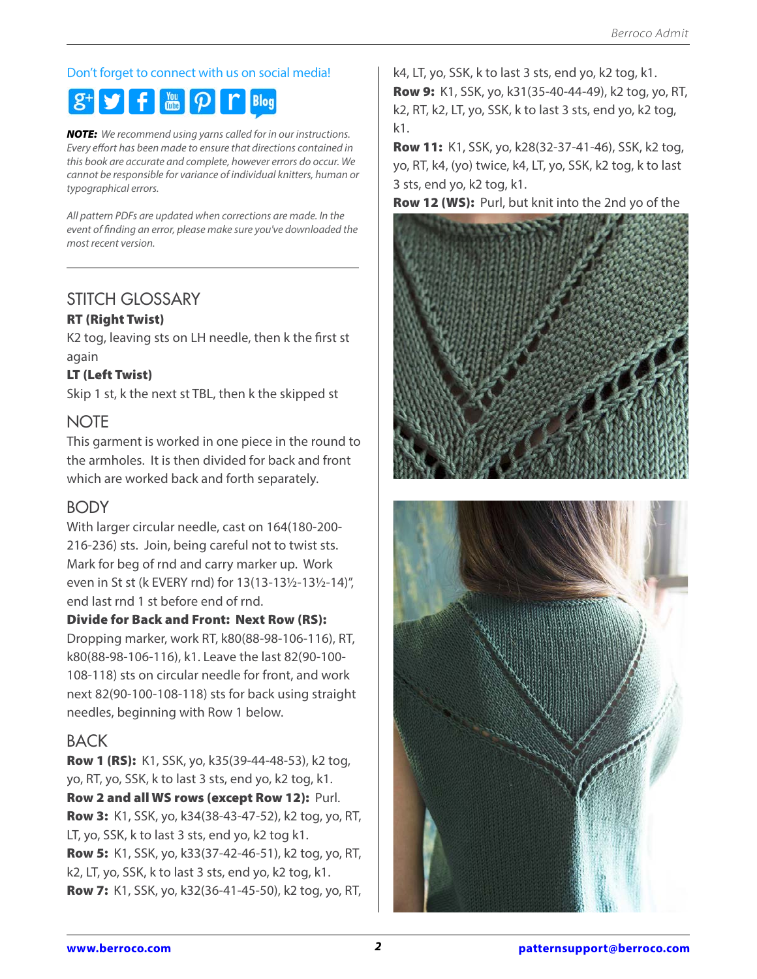## Don't forget to connect with us on social media!

#### **y**  $\mathbf{f}$   $\mathbf{F}$   $\mathbf{F}$   $\mathbf{F}$ **Blog**

*NOTE: We recommend using yarns called for in our instructions. Every effort has been made to ensure that directions contained in this book are accurate and complete, however errors do occur. We cannot be responsible for variance of individual knitters, human or typographical errors.*

*All pattern PDFs are updated when corrections are made. In the event of finding an error, please make sure you've downloaded the most recent version.*

# STITCH GLOSSARY

## RT (Right Twist)

K2 tog, leaving sts on LH needle, then k the first st again

## LT (Left Twist)

Skip 1 st, k the next st TBL, then k the skipped st

## **NOTE**

This garment is worked in one piece in the round to the armholes. It is then divided for back and front which are worked back and forth separately.

# BODY

With larger circular needle, cast on 164(180-200- 216-236) sts. Join, being careful not to twist sts. Mark for beg of rnd and carry marker up. Work even in St st (k EVERY rnd) for 13(13-13½-13½-14)", end last rnd 1 st before end of rnd.

## Divide for Back and Front: Next Row (RS):

Dropping marker, work RT, k80(88-98-106-116), RT, k80(88-98-106-116), k1. Leave the last 82(90-100- 108-118) sts on circular needle for front, and work next 82(90-100-108-118) sts for back using straight needles, beginning with Row 1 below.

## BACK

Row 1 (RS): K1, SSK, yo, k35(39-44-48-53), k2 tog, yo, RT, yo, SSK, k to last 3 sts, end yo, k2 tog, k1. Row 2 and all WS rows (except Row 12): Purl. Row 3: K1, SSK, yo, k34(38-43-47-52), k2 tog, yo, RT, LT, yo, SSK, k to last 3 sts, end yo, k2 tog k1. Row 5: K1, SSK, yo, k33(37-42-46-51), k2 tog, yo, RT, k2, LT, yo, SSK, k to last 3 sts, end yo, k2 tog, k1. Row 7: K1, SSK, yo, k32(36-41-45-50), k2 tog, yo, RT,

k4, LT, yo, SSK, k to last 3 sts, end yo, k2 tog, k1. Row 9: K1, SSK, yo, k31(35-40-44-49), k2 tog, yo, RT, k2, RT, k2, LT, yo, SSK, k to last 3 sts, end yo, k2 tog, k1.

Row 11: K1, SSK, yo, k28(32-37-41-46), SSK, k2 tog, yo, RT, k4, (yo) twice, k4, LT, yo, SSK, k2 tog, k to last 3 sts, end yo, k2 tog, k1.

Row 12 (WS): Purl, but knit into the 2nd yo of the



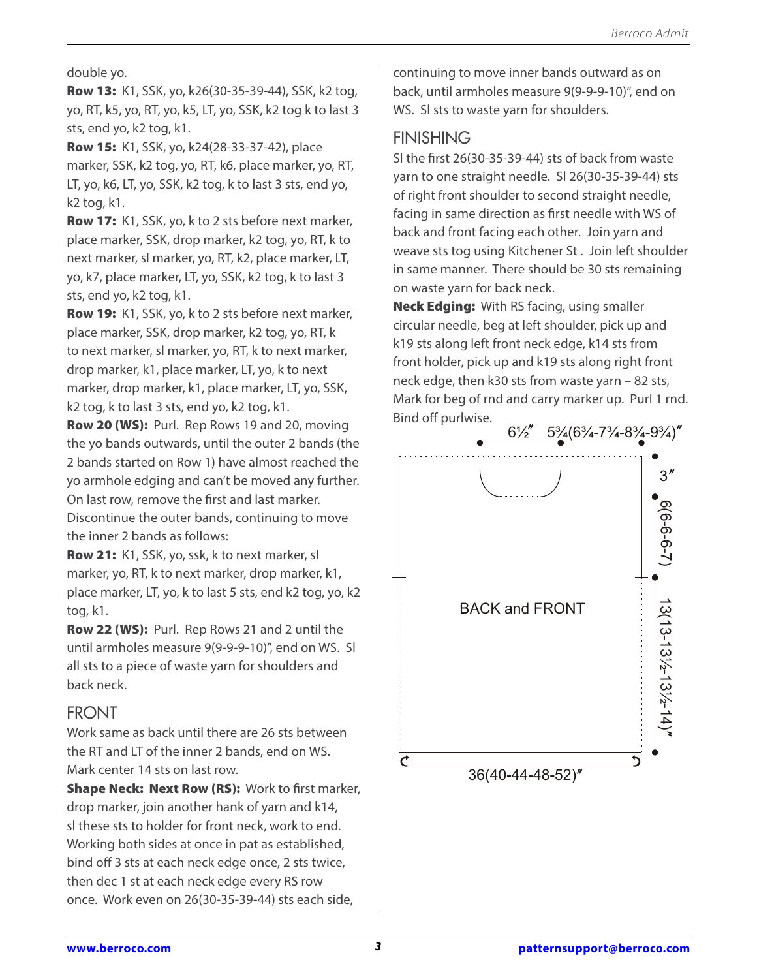double yo.

Row 13: K1, SSK, yo, k26(30-35-39-44), SSK, k2 tog, yo, RT, k5, yo, RT, yo, k5, LT, yo, SSK, k2 tog k to last 3 sts, end yo, k2 tog, k1.

Row 15: K1, SSK, yo, k24(28-33-37-42), place marker, SSK, k2 tog, yo, RT, k6, place marker, yo, RT, LT, yo, k6, LT, yo, SSK, k2 tog, k to last 3 sts, end yo, k2 tog, k1.

Row 17: K1, SSK, yo, k to 2 sts before next marker, place marker, SSK, drop marker, k2 tog, yo, RT, k to next marker, sl marker, yo, RT, k2, place marker, LT, yo, k7, place marker, LT, yo, SSK, k2 tog, k to last 3 sts, end yo, k2 tog, k1.

Row 19: K1, SSK, yo, k to 2 sts before next marker, place marker, SSK, drop marker, k2 tog, yo, RT, k to next marker, sl marker, yo, RT, k to next marker, drop marker, k1, place marker, LT, yo, k to next marker, drop marker, k1, place marker, LT, yo, SSK, k2 tog, k to last 3 sts, end yo, k2 tog, k1.

Row 20 (WS): Purl. Rep Rows 19 and 20, moving the yo bands outwards, until the outer 2 bands (the 2 bands started on Row 1) have almost reached the yo armhole edging and can't be moved any further. On last row, remove the first and last marker. Discontinue the outer bands, continuing to move the inner 2 bands as follows:

Row 21: K1, SSK, yo, ssk, k to next marker, sl marker, yo, RT, k to next marker, drop marker, k1, place marker, LT, yo, k to last 5 sts, end k2 tog, yo, k2 tog, k1.

Row 22 (WS): Purl. Rep Rows 21 and 2 until the until armholes measure 9(9-9-9-10)", end on WS. Sl all sts to a piece of waste yarn for shoulders and back neck.

# FRONT

Work same as back until there are 26 sts between the RT and LT of the inner 2 bands, end on WS. Mark center 14 sts on last row.

Shape Neck: Next Row (RS): Work to first marker, drop marker, join another hank of yarn and k14, sl these sts to holder for front neck, work to end. Working both sides at once in pat as established, bind off 3 sts at each neck edge once, 2 sts twice, then dec 1 st at each neck edge every RS row once. Work even on 26(30-35-39-44) sts each side,

continuing to move inner bands outward as on back, until armholes measure 9(9-9-9-10)", end on WS. Sl sts to waste yarn for shoulders.

# **FINISHING**

Sl the first 26(30-35-39-44) sts of back from waste yarn to one straight needle. Sl 26(30-35-39-44) sts of right front shoulder to second straight needle, facing in same direction as first needle with WS of back and front facing each other. Join yarn and weave sts tog using Kitchener St . Join left shoulder in same manner. There should be 30 sts remaining on waste yarn for back neck.

Neck Edging: With RS facing, using smaller circular needle, beg at left shoulder, pick up and k19 sts along left front neck edge, k14 sts from front holder, pick up and k19 sts along right front neck edge, then k30 sts from waste yarn – 82 sts, Mark for beg of rnd and carry marker up. Purl 1 rnd. Bind off purlwise.